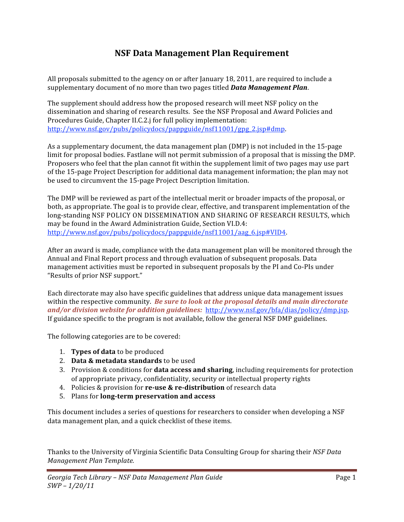# NSF Data Management Plan Requirement

All proposals submitted to the agency on or after January 18, 2011, are required to include a supplementary document of no more than two pages titled **Data Management Plan**.

The supplement should address how the proposed research will meet NSF policy on the dissemination and sharing of research results. See the NSF Proposal and Award Policies and Procedures Guide, Chapter II.C.2.j for full policy implementation: http://www.nsf.gov/pubs/policydocs/pappguide/nsf11001/gpg\_2.jsp#dmp.

As a supplementary document, the data management plan (DMP) is not included in the 15-page limit for proposal bodies. Fastlane will not permit submission of a proposal that is missing the DMP. Proposers who feel that the plan cannot fit within the supplement limit of two pages may use part of the 15-page Project Description for additional data management information; the plan may not be used to circumvent the 15-page Project Description limitation.

The DMP will be reviewed as part of the intellectual merit or broader impacts of the proposal, or both, as appropriate. The goal is to provide clear, effective, and transparent implementation of the long-standing NSF POLICY ON DISSEMINATION AND SHARING OF RESEARCH RESULTS, which may be found in the Award Administration Guide, Section VI.D.4: http://www.nsf.gov/pubs/policydocs/pappguide/nsf11001/aag 6.jsp#VID4.

After an award is made, compliance with the data management plan will be monitored through the Annual and Final Report process and through evaluation of subsequent proposals. Data management activities must be reported in subsequent proposals by the PI and Co-PIs under "Results of prior NSF support."

Each directorate may also have specific guidelines that address unique data management issues within the respective community. Be sure to look at the proposal details and main directorate and/or division website for addition guidelines: http://www.nsf.gov/bfa/dias/policy/dmp.jsp. If guidance specific to the program is not available, follow the general NSF DMP guidelines.

The following categories are to be covered:

- 1. Types of data to be produced
- 2. Data & metadata standards to be used
- 3. Provision & conditions for data access and sharing, including requirements for protection of appropriate privacy, confidentiality, security or intellectual property rights
- 4. Policies & provision for re-use & re-distribution of research data
- 5. Plans for long-term preservation and access

This document includes a series of questions for researchers to consider when developing a NSF data management plan, and a quick checklist of these items.

Thanks to the University of Virginia Scientific Data Consulting Group for sharing their NSF Data Management Plan Template.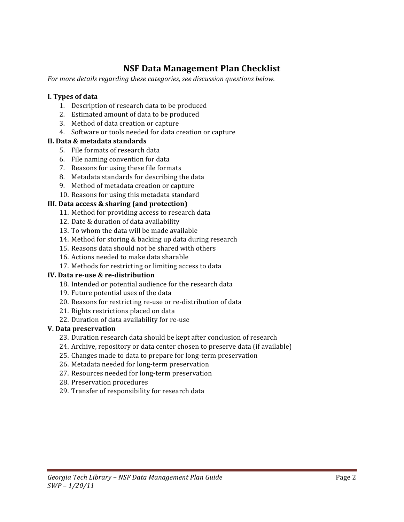# **NSF Data Management Plan Checklist**

For more details regarding these categories, see discussion questions below.

## I. Types of data

- 1. Description of research data to be produced
- 2. Estimated amount of data to be produced
- 3. Method of data creation or capture
- 4. Software or tools needed for data creation or capture

## II. Data & metadata standards

- 5. File formats of research data
- 6. File naming convention for data
- 7. Reasons for using these file formats
- 8. Metadata standards for describing the data
- 9. Method of metadata creation or capture
- 10. Reasons for using this metadata standard

## III. Data access & sharing (and protection)

- 11. Method for providing access to research data
- 12. Date & duration of data availability
- 13. To whom the data will be made available
- 14. Method for storing & backing up data during research
- 15. Reasons data should not be shared with others
- 16. Actions needed to make data sharable
- 17. Methods for restricting or limiting access to data

## IV. Data re-use & re-distribution

- 18. Intended or potential audience for the research data
- 19. Future potential uses of the data
- 20. Reasons for restricting re-use or re-distribution of data
- 21. Rights restrictions placed on data
- 22. Duration of data availability for re-use

## V. Data preservation

- 23. Duration research data should be kept after conclusion of research
- 24. Archive, repository or data center chosen to preserve data (if available)
- 25. Changes made to data to prepare for long-term preservation
- 26. Metadata needed for long-term preservation
- 27. Resources needed for long-term preservation
- 28. Preservation procedures
- 29. Transfer of responsibility for research data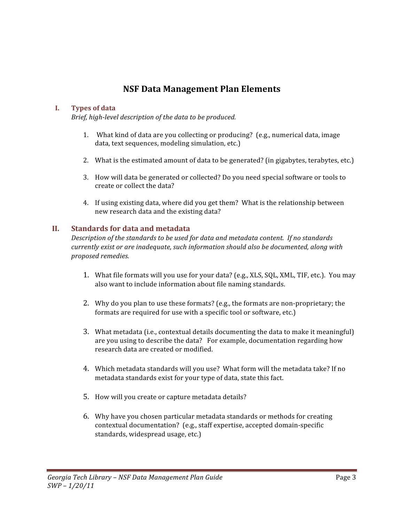## **NSF Data Management Plan Elements**

#### $\mathbf{I}$ . **Types of data**

Brief, high-level description of the data to be produced.

- 1. What kind of data are you collecting or producing? (e.g., numerical data, image data, text sequences, modeling simulation, etc.)
- 2. What is the estimated amount of data to be generated? (in gigabytes, terabytes, etc.)
- 3. How will data be generated or collected? Do you need special software or tools to create or collect the data?
- 4. If using existing data, where did you get them? What is the relationship between new research data and the existing data?

### **Standards for data and metadata**  $\Pi$ .

Description of the standards to be used for data and metadata content. If no standards currently exist or are inadequate, such information should also be documented, along with proposed remedies.

- 1. What file formats will you use for your data? (e.g., XLS, SQL, XML, TIF, etc.). You may also want to include information about file naming standards.
- 2. Why do you plan to use these formats? (e.g., the formats are non-proprietary; the formats are required for use with a specific tool or software, etc.)
- 3. What metadata (i.e., contextual details documenting the data to make it meaningful) are you using to describe the data? For example, documentation regarding how research data are created or modified.
- 4. Which metadata standards will you use? What form will the metadata take? If no metadata standards exist for your type of data, state this fact.
- 5. How will you create or capture metadata details?
- 6. Why have you chosen particular metadata standards or methods for creating contextual documentation? (e.g., staff expertise, accepted domain-specific standards, widespread usage, etc.)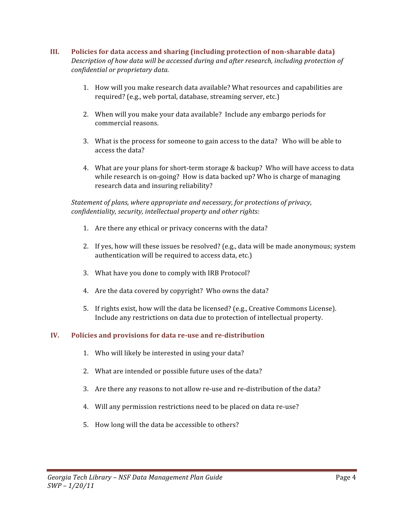### III. Policies for data access and sharing (including protection of non-sharable data) Description of how data will be accessed during and after research, including protection of confidential or proprietary data.

- 1. How will you make research data available? What resources and capabilities are required? (e.g., web portal, database, streaming server, etc.)
- 2. When will you make your data available? Include any embargo periods for commercial reasons.
- 3. What is the process for someone to gain access to the data? Who will be able to access the data?
- 4. What are your plans for short-term storage & backup? Who will have access to data while research is on-going? How is data backed up? Who is charge of managing research data and insuring reliability?

## Statement of plans, where appropriate and necessary, for protections of privacy, confidentiality, security, intellectual property and other rights:

- 1. Are there any ethical or privacy concerns with the data?
- 2. If yes, how will these issues be resolved? (e.g., data will be made anonymous; system authentication will be required to access data, etc.)
- 3. What have you done to comply with IRB Protocol?
- 4. Are the data covered by copyright? Who owns the data?
- 5. If rights exist, how will the data be licensed? (e.g., Creative Commons License). Include any restrictions on data due to protection of intellectual property.

### IV. Policies and provisions for data re-use and re-distribution

- 1. Who will likely be interested in using your data?
- 2. What are intended or possible future uses of the data?
- 3. Are there any reasons to not allow re-use and re-distribution of the data?
- 4. Will any permission restrictions need to be placed on data re-use?
- 5. How long will the data be accessible to others?